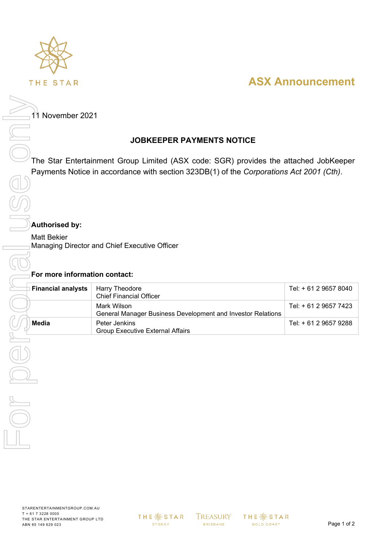

# **ASX Announcement**

11 November 2021

## **JOBKEEPER PAYMENTS NOTICE**

The Star Entertainment Group Limited (ASX code: SGR) provides the attached JobKeeper Payments Notice in accordance with section 323DB(1) of the *Corporations Act 2001 (Cth)*.

## **Authorised by:**

Matt Bekier Managing Director and Chief Executive Officer

| Mark Wilson<br>General Manager Business Development and Investor Relations<br><b>Media</b><br>Peter Jenkins<br><b>Group Executive External Affairs</b> | Tel: + 61 2 9657 7423<br>Tel: + 61 2 9657 9288 |
|--------------------------------------------------------------------------------------------------------------------------------------------------------|------------------------------------------------|
|                                                                                                                                                        |                                                |
|                                                                                                                                                        |                                                |
|                                                                                                                                                        |                                                |
|                                                                                                                                                        |                                                |
|                                                                                                                                                        |                                                |
|                                                                                                                                                        |                                                |

**THE ※ STAR** SYDNEY

**TREASURY BRISBANE** 

**THE ※ STAR** GOLD COAST